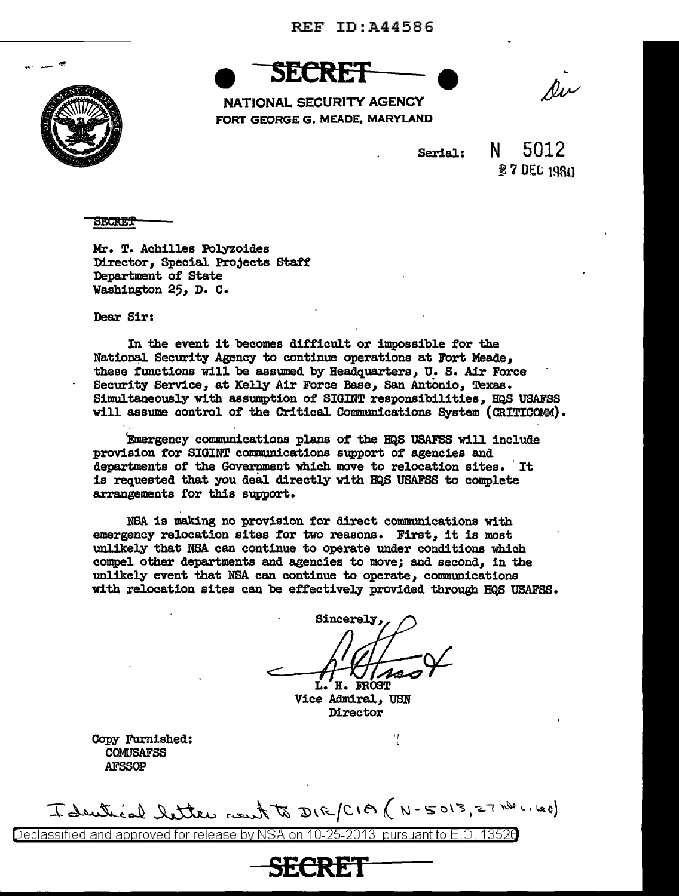

**SECRET** 

NATIONAL SECURITY AGENCY FORT GEORGE G. MEADE, MARYLAND

Riv

Serial:

5012 **27 DEC 1980** 

SECRET

Mr. T. Achilles Polyzoides Director, Special Projects Staff Department of State Washington 25, D. c.

Dear Sir:

In the event it becomes difficult or impossible for the National Security Agency to continue operations at Fort Meade, these functions will be assumed by Headquarters, U. S. Air Force Security Service, at Kelly Air Force Base, San Antonio, Texas. Simultaneously with assumption of SIGINT responsibilities, HQS USAFSS will assume control of the Critical Communications System (CRITICOMM). . .

'Emergency communications plans of the BQS USAFSS will include provision for SIGINT communications support of agencies and departments of the Government which move to relocation sites. It is requested that you deal directly with BQS USAFSS to complete arrangements for this support.

NSA is making no provision for direct communications with emergency relocation sites for two reasons. First, it is most unlikely that NSA can continue to operate under conditions which compel other departments and agencies to move; and second, in the unlikely event that NSA can continue to operate, communications with relocation sites can be effectively provided through HQS USAFSS.

Sincerely. H. FROST L.

Vice Admiral, USN **Director** 

Copy Furnished: COMUSAFSS AFSSOP

I dentical letter rent to DIR/CIA (N-5013, 27 nde .. 120)

**SECRET** 

Declassified and approved for release by NSA on 10-25-2013 pursuant to E.O. 13520